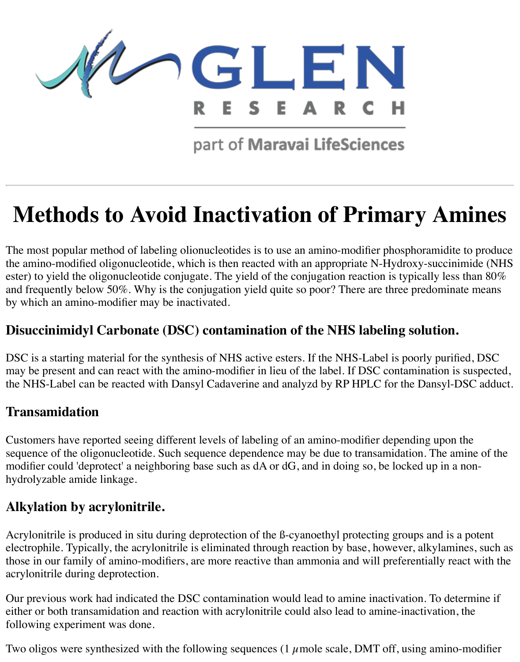

part of Maravai LifeSciences

# **Methods to Avoid Inactivation of Primary Amines**

The most popular method of labeling olionucleotides is to use an amino-modifier phosphoramidite to produce the amino-modified oligonucleotide, which is then reacted with an appropriate N-Hydroxy-succinimide (NHS ester) to yield the oligonucleotide conjugate. The yield of the conjugation reaction is typically less than 80% and frequently below 50%. Why is the conjugation yield quite so poor? There are three predominate means by which an amino-modifier may be inactivated.

## **Disuccinimidyl Carbonate (DSC) contamination of the NHS labeling solution.**

DSC is a starting material for the synthesis of NHS active esters. If the NHS-Label is poorly purified, DSC may be present and can react with the amino-modifier in lieu of the label. If DSC contamination is suspected, the NHS-Label can be reacted with Dansyl Cadaverine and analyzd by RP HPLC for the Dansyl-DSC adduct.

### **Transamidation**

Customers have reported seeing different levels of labeling of an amino-modifier depending upon the sequence of the oligonucleotide. Such sequence dependence may be due to transamidation. The amine of the modifier could 'deprotect' a neighboring base such as dA or dG, and in doing so, be locked up in a nonhydrolyzable amide linkage.

### **Alkylation by acrylonitrile.**

Acrylonitrile is produced in situ during deprotection of the ß-cyanoethyl protecting groups and is a potent electrophile. Typically, the acrylonitrile is eliminated through reaction by base, however, alkylamines, such as those in our family of amino-modifiers, are more reactive than ammonia and will preferentially react with the acrylonitrile during deprotection.

Our previous work had indicated the DSC contamination would lead to amine inactivation. To determine if either or both transamidation and reaction with acrylonitrile could also lead to amine-inactivation, the following experiment was done.

Two oligos were synthesized with the following sequences (1  $\mu$  mole scale, DMT off, using amino-modifier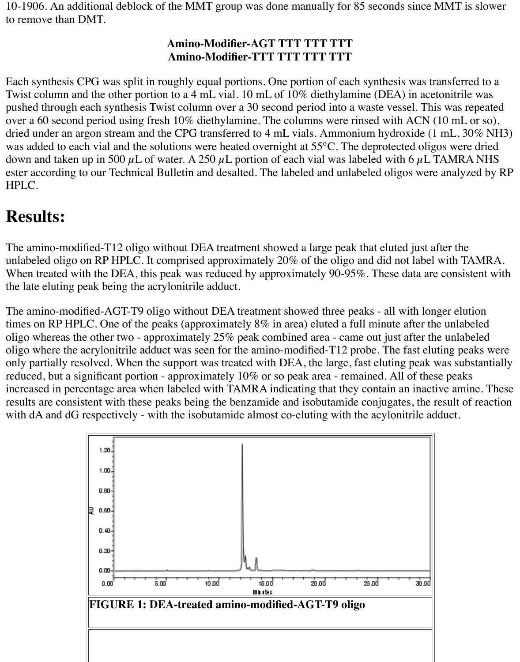10-1906. An additional deblock of the MMT group was done manually for 85 seconds since MMT is slower to remove than DMT.

#### **Amino-Modifier-AGT TTT TTT TTT Amino-Modifier-TTT TTT TTT TTT**

Each synthesis CPG was split in roughly equal portions. One portion of each synthesis was transferred to a Twist column and the other portion to a 4 mL vial. 10 mL of 10% diethylamine (DEA) in acetonitrile was pushed through each synthesis Twist column over a 30 second period into a waste vessel. This was repeated over a 60 second period using fresh 10% diethylamine. The columns were rinsed with ACN (10 mL or so), dried under an argon stream and the CPG transferred to 4 mL vials. Ammonium hydroxide (1 mL, 30% NH3) was added to each vial and the solutions were heated overnight at 55°C. The deprotected oligos were dried down and taken up in 500  $\mu$ L of water. A 250  $\mu$ L portion of each vial was labeled with 6  $\mu$ L TAMRA NHS ester according to our Technical Bulletin and desalted. The labeled and unlabeled oligos were analyzed by RP HPLC.

# **Results:**

The amino-modified-T12 oligo without DEA treatment showed a large peak that eluted just after the unlabeled oligo on RP HPLC. It comprised approximately 20% of the oligo and did not label with TAMRA. When treated with the DEA, this peak was reduced by approximately 90-95%. These data are consistent with the late eluting peak being the acrylonitrile adduct.

The amino-modified-AGT-T9 oligo without DEA treatment showed three peaks - all with longer elution times on RP HPLC. One of the peaks (approximately 8% in area) eluted a full minute after the unlabeled oligo whereas the other two - approximately 25% peak combined area - came out just after the unlabeled oligo where the acrylonitrile adduct was seen for the amino-modified-T12 probe. The fast eluting peaks were only partially resolved. When the support was treated with DEA, the large, fast eluting peak was substantially reduced, but a significant portion - approximately 10% or so peak area - remained. All of these peaks increased in percentage area when labeled with TAMRA indicating that they contain an inactive amine. These results are consistent with these peaks being the benzamide and isobutamide conjugates, the result of reaction with dA and dG respectively - with the isobutamide almost co-eluting with the acylonitrile adduct.

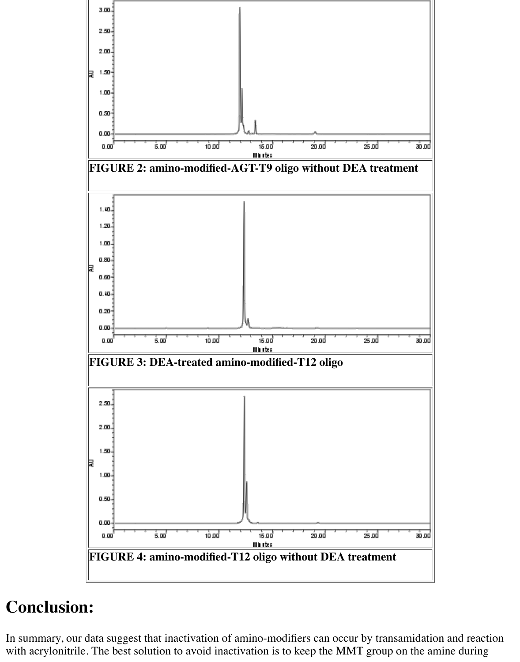

# **Conclusion:**

In summary, our data suggest that inactivation of amino-modifiers can occur by transamidation and reaction with acrylonitrile. The best solution to avoid inactivation is to keep the MMT group on the amine during